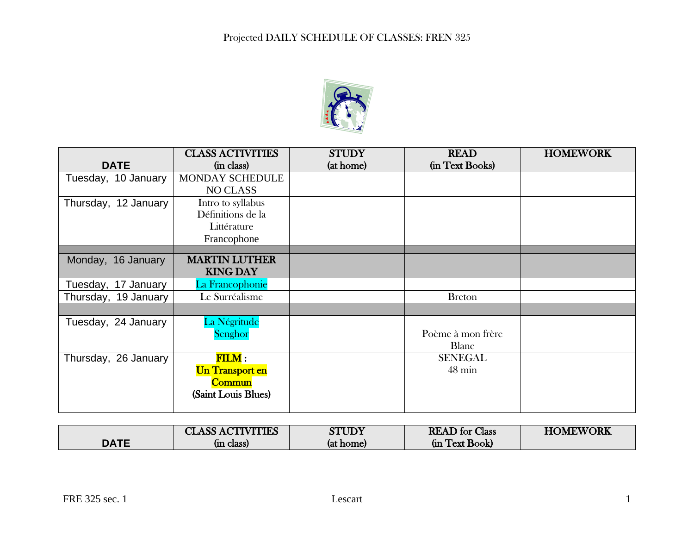

|                      | <b>CLASS ACTIVITIES</b> | <b>STUDY</b> | <b>READ</b>       | <b>HOMEWORK</b> |
|----------------------|-------------------------|--------------|-------------------|-----------------|
| <b>DATE</b>          | (in class)              | (at home)    | (in Text Books)   |                 |
| Tuesday, 10 January  | MONDAY SCHEDULE         |              |                   |                 |
|                      | <b>NO CLASS</b>         |              |                   |                 |
| Thursday, 12 January | Intro to syllabus       |              |                   |                 |
|                      | Définitions de la       |              |                   |                 |
|                      | Littérature             |              |                   |                 |
|                      | Francophone             |              |                   |                 |
|                      |                         |              |                   |                 |
| Monday, 16 January   | <b>MARTIN LUTHER</b>    |              |                   |                 |
|                      | <b>KING DAY</b>         |              |                   |                 |
| Tuesday, 17 January  | La Francophonie         |              |                   |                 |
| Thursday, 19 January | Le Surréalisme          |              | <b>Breton</b>     |                 |
|                      |                         |              |                   |                 |
| Tuesday, 24 January  | La Négritude            |              |                   |                 |
|                      | Senghor                 |              | Poème à mon frère |                 |
|                      |                         |              | <b>Blanc</b>      |                 |
| Thursday, 26 January | $\textbf{FILM}:$        |              | <b>SENEGAL</b>    |                 |
|                      | <b>Un Transport en</b>  |              | $48 \text{ min}$  |                 |
|                      | <b>Commun</b>           |              |                   |                 |
|                      | (Saint Louis Blues)     |              |                   |                 |
|                      |                         |              |                   |                 |

|             | <b>CLASS ACTIVITIES</b> | <b>STUDY</b> | <b>READ</b> for Class | <b>HOMEWORK</b> |
|-------------|-------------------------|--------------|-----------------------|-----------------|
| <b>DATE</b> | (in class)              | (at home)    | Text Book<br>(ın      |                 |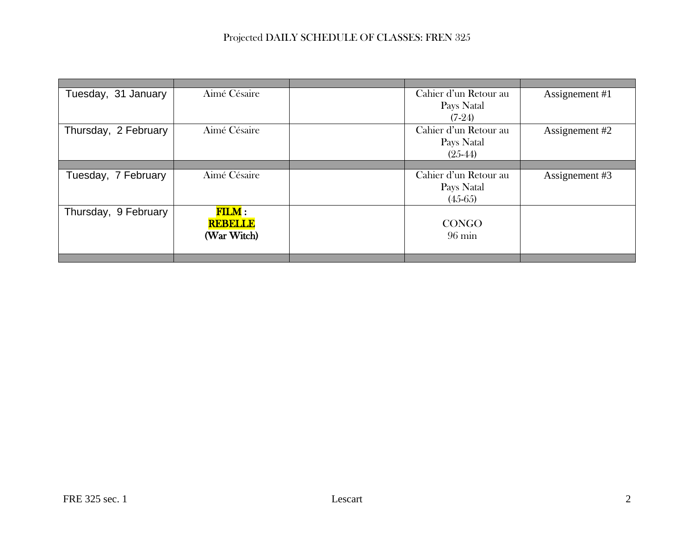| Tuesday, 31 January  | Aimé Césaire     | Cahier d'un Retour au | Assignement #1 |
|----------------------|------------------|-----------------------|----------------|
|                      |                  | Pays Natal            |                |
|                      |                  | $(7-24)$              |                |
| Thursday, 2 February | Aimé Césaire     | Cahier d'un Retour au | Assignement #2 |
|                      |                  | Pays Natal            |                |
|                      |                  | $(25-44)$             |                |
|                      |                  |                       |                |
| Tuesday, 7 February  | Aimé Césaire     | Cahier d'un Retour au | Assignement #3 |
|                      |                  | Pays Natal            |                |
|                      |                  | $(45-65)$             |                |
| Thursday, 9 February | $\textbf{FILM}:$ |                       |                |
|                      | <b>REBELLE</b>   | <b>CONGO</b>          |                |
|                      | (War Witch)      | $96 \text{ min}$      |                |
|                      |                  |                       |                |
|                      |                  |                       |                |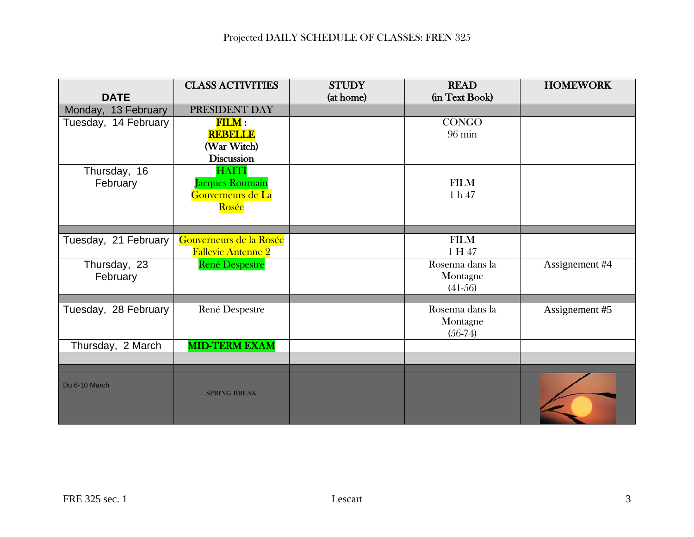|                      | <b>CLASS ACTIVITIES</b>   | <b>STUDY</b> | <b>READ</b>      | <b>HOMEWORK</b> |
|----------------------|---------------------------|--------------|------------------|-----------------|
| <b>DATE</b>          |                           | (at home)    | (in Text Book)   |                 |
| Monday, 13 February  | PRESIDENT DAY             |              |                  |                 |
| Tuesday, 14 February | $\textbf{FILM}:$          |              | <b>CONGO</b>     |                 |
|                      | <b>REBELLE</b>            |              | $96 \text{ min}$ |                 |
|                      | (War Witch)               |              |                  |                 |
|                      | <b>Discussion</b>         |              |                  |                 |
| Thursday, 16         | <b>HAITI</b>              |              |                  |                 |
| February             | Jacques Roumain           |              | <b>FILM</b>      |                 |
|                      | Gouverneurs de La         |              | $1 h 47$         |                 |
|                      | Rosée                     |              |                  |                 |
|                      |                           |              |                  |                 |
| Tuesday, 21 February | Gouverneurs de la Rosée   |              | <b>FILM</b>      |                 |
|                      | <b>Fallevic Antenne 2</b> |              | 1 H 47           |                 |
| Thursday, 23         | <b>René Despestre</b>     |              | Rosenna dans la  | Assignement #4  |
| February             |                           |              | Montagne         |                 |
|                      |                           |              | $(41-56)$        |                 |
|                      |                           |              |                  |                 |
| Tuesday, 28 February | René Despestre            |              | Rosenna dans la  | Assignement #5  |
|                      |                           |              | Montagne         |                 |
|                      |                           |              | $(56-74)$        |                 |
| Thursday, 2 March    | <b>MID-TERM EXAM</b>      |              |                  |                 |
|                      |                           |              |                  |                 |
|                      |                           |              |                  |                 |
| Du 6-10 March        | <b>SPRING BREAK</b>       |              |                  |                 |
|                      |                           |              |                  |                 |
|                      |                           |              |                  |                 |
|                      |                           |              |                  |                 |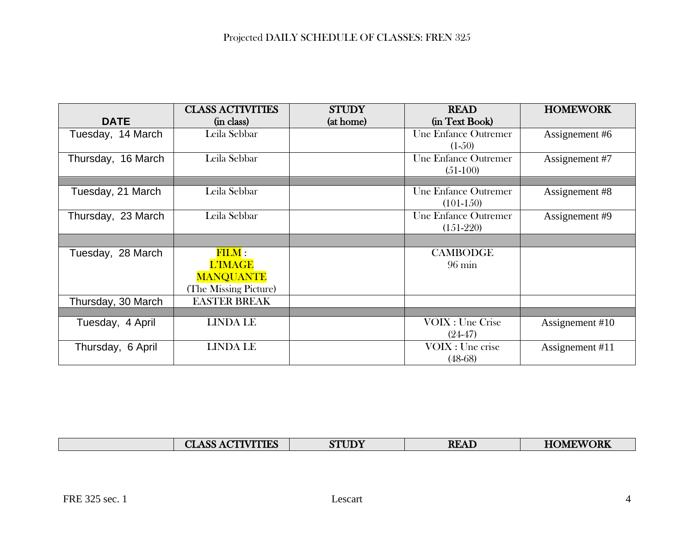|                    | <b>CLASS ACTIVITIES</b>      | <b>STUDY</b> | <b>READ</b>          | <b>HOMEWORK</b> |
|--------------------|------------------------------|--------------|----------------------|-----------------|
| <b>DATE</b>        | (in class)                   | (at home)    | (in Text Book)       |                 |
| Tuesday, 14 March  | Leila Sebbar                 |              | Une Enfance Outremer | Assignement #6  |
|                    |                              |              | $(1-50)$             |                 |
| Thursday, 16 March | Leila Sebbar                 |              | Une Enfance Outremer | Assignement #7  |
|                    |                              |              | $(51-100)$           |                 |
|                    |                              |              |                      |                 |
| Tuesday, 21 March  | Leila Sebbar                 |              | Une Enfance Outremer | Assignement #8  |
|                    |                              |              | $(101-150)$          |                 |
| Thursday, 23 March | Leila Sebbar                 |              | Une Enfance Outremer | Assignement #9  |
|                    |                              |              | $(151-220)$          |                 |
|                    |                              |              |                      |                 |
| Tuesday, 28 March  | $\overline{\mathrm{FILM}}$ : |              | <b>CAMBODGE</b>      |                 |
|                    | <b>L'IMAGE</b>               |              | $96 \text{ min}$     |                 |
|                    | <b>MANQUANTE</b>             |              |                      |                 |
|                    | (The Missing Picture)        |              |                      |                 |
| Thursday, 30 March | <b>EASTER BREAK</b>          |              |                      |                 |
|                    |                              |              |                      |                 |
| Tuesday, 4 April   | <b>LINDA LE</b>              |              | VOIX : Une Crise     | Assignement #10 |
|                    |                              |              | $(24-47)$            |                 |
| Thursday, 6 April  | <b>LINDA LE</b>              |              | VOIX : Une crise     | Assignement #11 |
|                    |                              |              | $(48-68)$            |                 |

| <b>VITIES</b><br>$\sim$<br><u>്ര വ</u><br><b>JLIAD</b> | <b>UDY</b><br>$\alpha$<br>. S. F | <b>READ</b> | <b>IEWORK</b><br><b>HOMF</b> |
|--------------------------------------------------------|----------------------------------|-------------|------------------------------|
|                                                        |                                  |             |                              |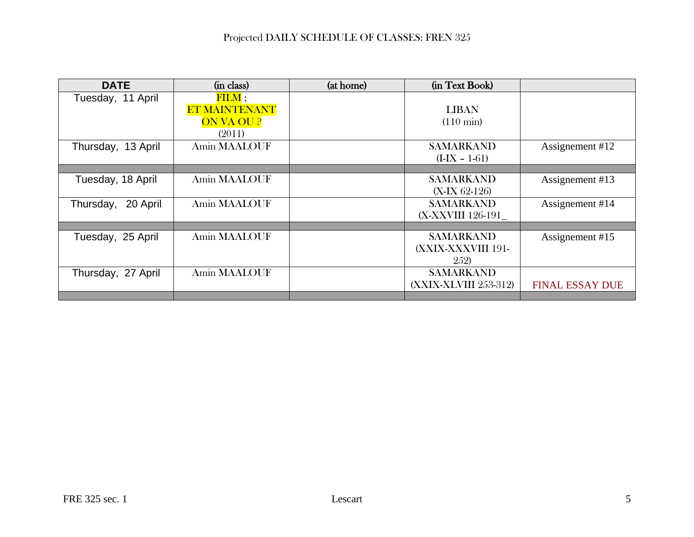| <b>DATE</b>           | (in class)                   | (at home) | (in Text Book)        |                        |
|-----------------------|------------------------------|-----------|-----------------------|------------------------|
| Tuesday, 11 April     | $\overline{\mathrm{FILM}}$ ; |           |                       |                        |
|                       | <b>ET MAINTENANT</b>         |           | <b>LIBAN</b>          |                        |
|                       | ON VA OU ?                   |           | $(110 \text{ min})$   |                        |
|                       | (2011)                       |           |                       |                        |
| Thursday, 13 April    | Amin MAALOUF                 |           | <b>SAMARKAND</b>      | Assignement #12        |
|                       |                              |           | $(I-IX - 1-61)$       |                        |
|                       |                              |           |                       |                        |
| Tuesday, 18 April     | Amin MAALOUF                 |           | <b>SAMARKAND</b>      | Assignement #13        |
|                       |                              |           | $(X-IX) 62-126$       |                        |
| 20 April<br>Thursday, | Amin MAALOUF                 |           | <b>SAMARKAND</b>      | Assignement #14        |
|                       |                              |           | (X-XXVIII 126-191     |                        |
|                       |                              |           |                       |                        |
| Tuesday, 25 April     | Amin MAALOUF                 |           | <b>SAMARKAND</b>      | Assignement #15        |
|                       |                              |           | (XXIX-XXXVIII 191-    |                        |
|                       |                              |           | <b>252</b> )          |                        |
| Thursday, 27 April    | Amin MAALOUF                 |           | <b>SAMARKAND</b>      |                        |
|                       |                              |           | (XXIX-XLVIII 253-312) | <b>FINAL ESSAY DUE</b> |
|                       |                              |           |                       |                        |